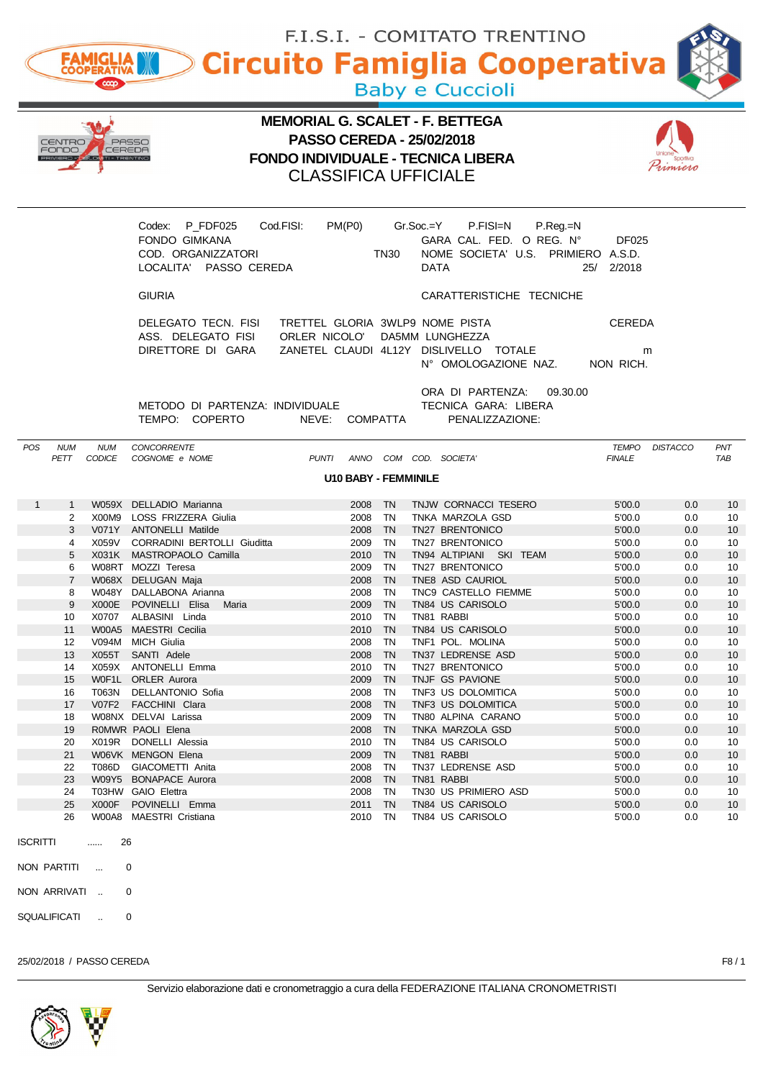|                                  |                       |                                                                                         |                                                                          |             |                                    | F.I.S.I. - COMITATO TRENTINO            |                        |                 |                       |
|----------------------------------|-----------------------|-----------------------------------------------------------------------------------------|--------------------------------------------------------------------------|-------------|------------------------------------|-----------------------------------------|------------------------|-----------------|-----------------------|
|                                  | <b>FAMIGLIA</b>       | Circuito Famiglia Cooperativa                                                           |                                                                          |             |                                    |                                         |                        |                 |                       |
|                                  |                       |                                                                                         |                                                                          |             | <b>Baby e Cuccioli</b>             |                                         |                        |                 |                       |
|                                  |                       |                                                                                         | <b>MEMORIAL G. SCALET - F. BETTEGA</b>                                   |             |                                    |                                         |                        |                 |                       |
| IENTRO<br>FONDO                  | CEREDA                | PASSC                                                                                   | <b>PASSO CEREDA - 25/02/2018</b>                                         |             |                                    |                                         |                        |                 |                       |
|                                  |                       |                                                                                         | <b>FONDO INDIVIDUALE - TECNICA LIBERA</b><br><b>CLASSIFICA UFFICIALE</b> |             |                                    |                                         |                        |                 |                       |
|                                  |                       |                                                                                         |                                                                          |             |                                    |                                         |                        |                 |                       |
|                                  |                       | Codex: P_FDF025                                                                         | PM(PO)<br>Cod.FISI:                                                      |             | $Gr.Soc = Y$                       | P.FISI=N<br>P.Reg.=N                    |                        |                 |                       |
|                                  |                       | <b>FONDO GIMKANA</b>                                                                    |                                                                          |             |                                    | GARA CAL. FED. O REG. Nº                | <b>DF025</b>           |                 |                       |
|                                  |                       | COD. ORGANIZZATORI<br>LOCALITA' PASSO CEREDA                                            |                                                                          | <b>TN30</b> | <b>DATA</b>                        | NOME SOCIETA' U.S. PRIMIERO A.S.D.      | 25/ 2/2018             |                 |                       |
|                                  |                       | <b>GIURIA</b>                                                                           |                                                                          |             |                                    | CARATTERISTICHE TECNICHE                |                        |                 |                       |
|                                  |                       |                                                                                         |                                                                          |             |                                    |                                         |                        |                 |                       |
|                                  |                       | DELEGATO TECN. FISI TRETTEL GLORIA 3WLP9 NOME PISTA<br>ASS. DELEGATO FISI ORLER NICOLO' |                                                                          |             | DA5MM LUNGHEZZA                    |                                         | <b>CEREDA</b>          |                 |                       |
|                                  |                       | DIRETTORE DI GARA                                                                       | ZANETEL CLAUDI 4L12Y DISLIVELLO TOTALE                                   |             |                                    |                                         |                        | m               |                       |
|                                  |                       |                                                                                         |                                                                          |             |                                    | N° OMOLOGAZIONE NAZ.                    | NON RICH.              |                 |                       |
|                                  |                       |                                                                                         |                                                                          |             |                                    | ORA DI PARTENZA:<br>09.30.00            |                        |                 |                       |
|                                  |                       | METODO DI PARTENZA: INDIVIDUALE<br>TEMPO: COPERTO                                       | NEVE: COMPATTA                                                           |             |                                    | TECNICA GARA: LIBERA<br>PENALIZZAZIONE: |                        |                 |                       |
|                                  |                       |                                                                                         |                                                                          |             |                                    |                                         |                        |                 |                       |
| <b>POS</b><br><b>NUM</b><br>PETT | <b>NUM</b><br>CODICE  | CONCORRENTE<br>COGNOME e NOME                                                           | <b>PUNTI</b>                                                             |             | ANNO COM COD. SOCIETA'             |                                         | TEMPO<br><b>FINALE</b> | <b>DISTACCO</b> | PNT<br><b>TAB</b>     |
|                                  |                       |                                                                                         | <b>U10 BABY - FEMMINILE</b>                                              |             |                                    |                                         |                        |                 |                       |
| $\mathbf{1}$<br>1                |                       | W059X DELLADIO Marianna                                                                 | 2008                                                                     | - TN        |                                    | TNJW CORNACCI TESERO                    | 5'00.0                 | 0.0             | 10                    |
| 2                                |                       | X00M9 LOSS FRIZZERA Giulia                                                              | 2008 TN                                                                  |             | TNKA MARZOLA GSD                   |                                         | 5'00.0                 | 0.0             | 10                    |
| 3<br>4                           | X059V                 | V071Y ANTONELLI Matilde<br>CORRADINI BERTOLLI Giuditta                                  | 2008 TN<br>2009 TN                                                       |             | TN27 BRENTONICO<br>TN27 BRENTONICO |                                         | 5'00.0<br>5'00.0       | 0.0<br>0.0      | 10<br>10              |
| 5                                | X031K                 | MASTROPAOLO Camilla                                                                     | 2010 TN                                                                  |             |                                    | TN94 ALTIPIANI SKI TEAM                 | 5'00.0                 | 0.0             | 10                    |
| 6                                |                       | W08RT MOZZI Teresa                                                                      | 2009 TN                                                                  |             | TN27 BRENTONICO                    |                                         | 5'00.0                 | 0.0             | 10                    |
| $\overline{7}$                   |                       | W068X DELUGAN Maja                                                                      | 2008                                                                     | <b>TN</b>   | TNE8 ASD CAURIOL                   |                                         | 5'00.0                 | 0.0             | 10                    |
| 8                                |                       | W048Y DALLABONA Arianna                                                                 | 2008 TN                                                                  |             |                                    | TNC9 CASTELLO FIEMME                    | 5'00.0                 | 0.0             | 10                    |
| 9                                | X000E                 | POVINELLI Elisa<br>Maria                                                                | 2009                                                                     | - TN        | TN84 US CARISOLO                   |                                         | 5'00.0                 | 0.0             | 10                    |
| 10                               | X0707<br><b>W00A5</b> | ALBASINI Linda<br><b>MAESTRI Cecilia</b>                                                | 2010 TN<br>2010                                                          | TN          | TN81 RABBI<br>TN84 US CARISOLO     |                                         | 5'00.0<br>5'00.0       | 0.0<br>0.0      | 10                    |
| 11<br>12                         | V094M                 | MICH Giulia                                                                             | 2008                                                                     | TN          | TNF1 POL. MOLINA                   |                                         | 5'00.0                 | 0.0             | 10 <sup>°</sup><br>10 |
| 13                               | X055T                 | SANTI Adele                                                                             | 2008                                                                     | TN          | TN37 LEDRENSE ASD                  |                                         | 5'00.0                 | 0.0             | 10 <sup>°</sup>       |
| 14                               | X059X                 | <b>ANTONELLI Emma</b>                                                                   | 2010 TN                                                                  |             | TN27 BRENTONICO                    |                                         | 5'00.0                 | 0.0             | 10                    |
| 15                               | W0F1L                 | <b>ORLER Aurora</b>                                                                     | 2009 TN                                                                  |             | TNJF GS PAVIONE                    |                                         | 5'00.0                 | 0.0             | 10                    |
| 16                               | T063N                 | DELLANTONIO Sofia                                                                       | 2008                                                                     | TN          | TNF3 US DOLOMITICA                 |                                         | 5'00.0                 | 0.0             | 10                    |
| 17                               | <b>V07F2</b>          | FACCHINI Clara                                                                          | 2008                                                                     | TN          | TNF3 US DOLOMITICA                 |                                         | 5'00.0                 | 0.0             | 10                    |
| 18                               |                       | W08NX DELVAI Larissa                                                                    | 2009                                                                     | TN          | TN80 ALPINA CARANO                 |                                         | 5'00.0                 | 0.0             | 10                    |
| 19                               |                       | R0MWR PAOLI Elena                                                                       | 2008 TN                                                                  |             | TNKA MARZOLA GSD                   |                                         | 5'00.0                 | 0.0             | 10                    |
| 20<br>21                         | X019R                 | DONELLI Alessia<br>W06VK MENGON Elena                                                   | 2010 TN<br>2009                                                          | TN          | TN84 US CARISOLO<br>TN81 RABBI     |                                         | 5'00.0<br>5'00.0       | 0.0<br>0.0      | 10<br>10 <sup>°</sup> |
| 22                               | T086D                 | GIACOMETTI Anita                                                                        | 2008                                                                     | TN          | TN37 LEDRENSE ASD                  |                                         | 5'00.0                 | 0.0             | 10                    |
| 23                               |                       | W09Y5 BONAPACE Aurora                                                                   | 2008 TN                                                                  |             | TN81 RABBI                         |                                         | 5'00.0                 | 0.0             | 10 <sup>°</sup>       |
| 24                               |                       | T03HW GAIO Elettra                                                                      | 2008                                                                     | TN          | TN30 US PRIMIERO ASD               |                                         | 5'00.0                 | 0.0             | 10                    |
| 25                               | X000F                 | POVINELLI Emma                                                                          | 2011 TN                                                                  |             | TN84 US CARISOLO                   |                                         | 5'00.0                 | 0.0             | 10 <sup>°</sup>       |
| 26                               |                       | W00A8 MAESTRI Cristiana                                                                 | 2010 TN                                                                  |             | TN84 US CARISOLO                   |                                         | 5'00.0                 | 0.0             | 10                    |
| <b>ISCRITTI</b>                  | 26<br>                |                                                                                         |                                                                          |             |                                    |                                         |                        |                 |                       |
| NON PARTITI                      | $\ldots$              | 0                                                                                       |                                                                          |             |                                    |                                         |                        |                 |                       |
| NON ARRIVATI                     |                       | 0                                                                                       |                                                                          |             |                                    |                                         |                        |                 |                       |
|                                  |                       |                                                                                         |                                                                          |             |                                    |                                         |                        |                 |                       |

SQUALIFICATI .. 0

25/02/2018 / PASSO CEREDA F8 / 1



 $\overline{\phantom{a}}$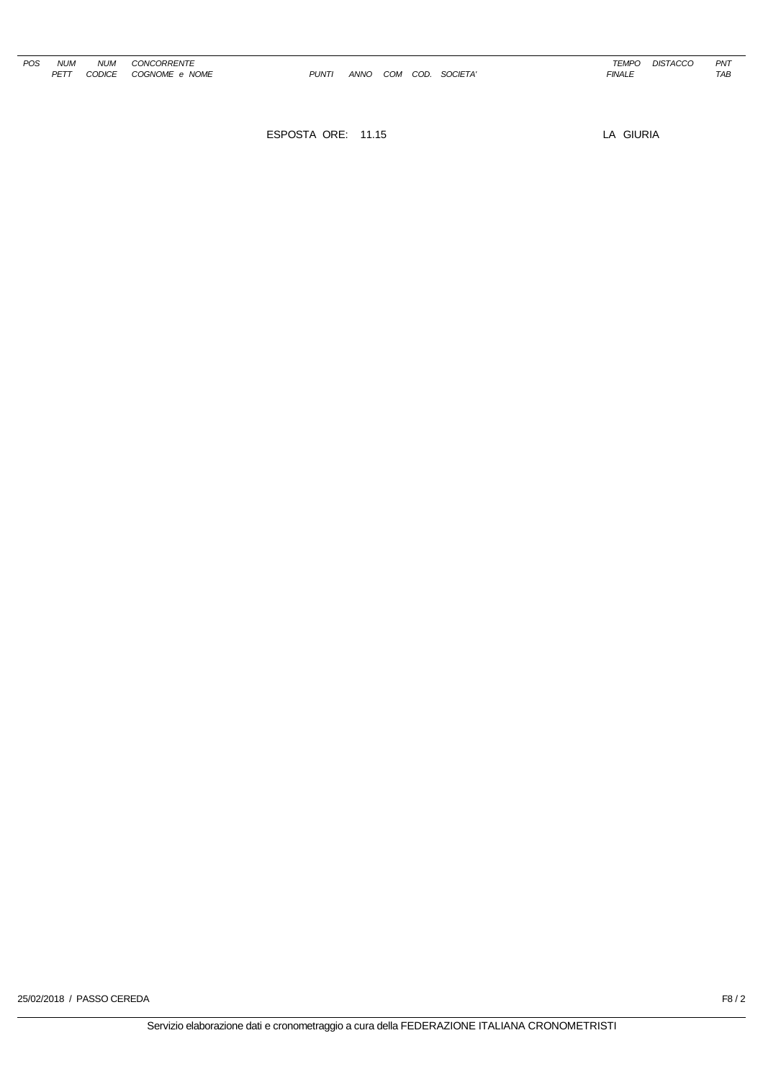$PUNTI$  *ANNO COM COD. SOCIETA' COD.* **FINALE FINALE**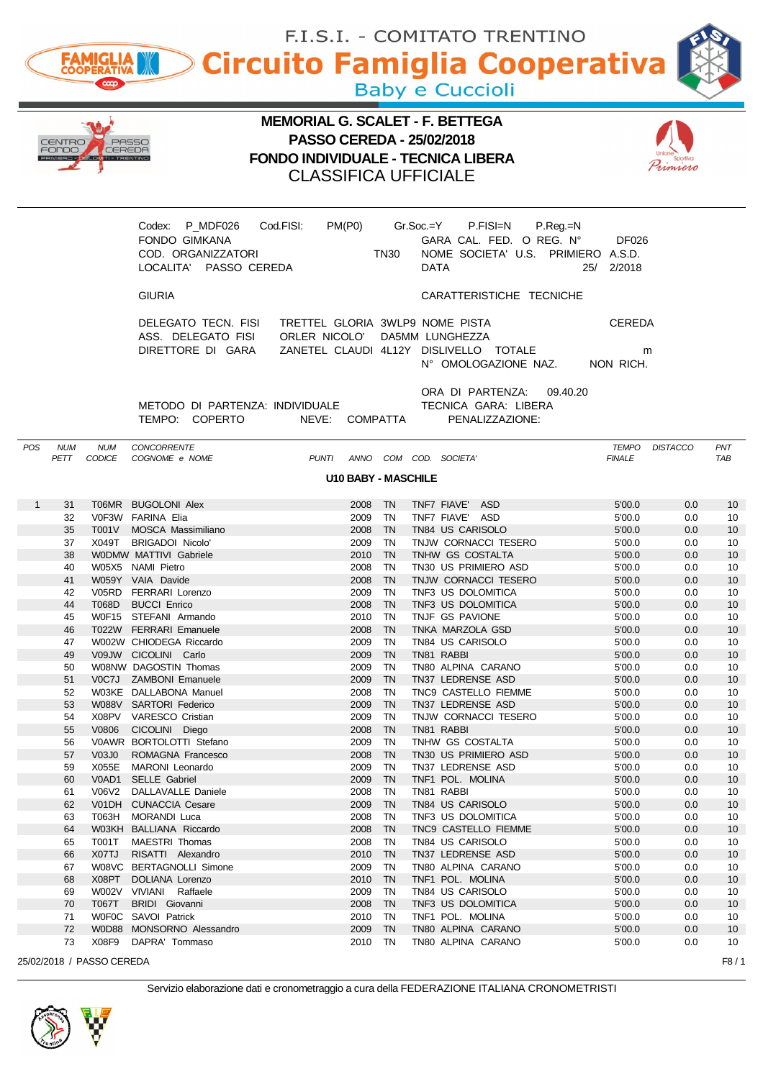|              |                    |                           |                                                     |                                           |                            |              |           | F.I.S.I. - COMITATO TRENTINO                                   |                        |                 |                   |
|--------------|--------------------|---------------------------|-----------------------------------------------------|-------------------------------------------|----------------------------|--------------|-----------|----------------------------------------------------------------|------------------------|-----------------|-------------------|
|              |                    | <b>FAMIGLIA</b>           |                                                     |                                           |                            |              |           | <b>Circuito Famiglia Cooperativa</b>                           |                        |                 |                   |
|              |                    |                           |                                                     |                                           |                            |              |           | <b>Baby e Cuccioli</b>                                         |                        |                 |                   |
|              |                    |                           |                                                     | <b>MEMORIAL G. SCALET - F. BETTEGA</b>    |                            |              |           |                                                                |                        |                 |                   |
|              | IENTRO             |                           |                                                     | <b>PASSO CEREDA - 25/02/2018</b>          |                            |              |           |                                                                |                        |                 |                   |
|              | =anna              |                           |                                                     | <b>FONDO INDIVIDUALE - TECNICA LIBERA</b> |                            |              |           |                                                                |                        | rimiero         |                   |
|              |                    |                           |                                                     | <b>CLASSIFICA UFFICIALE</b>               |                            |              |           |                                                                |                        |                 |                   |
|              |                    |                           |                                                     |                                           |                            |              |           |                                                                |                        |                 |                   |
|              |                    |                           | Codex: P_MDF026                                     | Cod.FISI:                                 | PM(PO)                     |              | Gr.Soc.=Y | P.FISI=N<br>$P_{\cdot}$ Reg $_{\cdot}$ =N                      |                        |                 |                   |
|              |                    |                           | <b>FONDO GIMKANA</b><br>COD. ORGANIZZATORI          |                                           |                            | <b>TN30</b>  |           | GARA CAL. FED. O REG. N°<br>NOME SOCIETA' U.S. PRIMIERO A.S.D. | <b>DF026</b>           |                 |                   |
|              |                    |                           | LOCALITA' PASSO CEREDA                              |                                           |                            |              | DATA      |                                                                | 25/ 2/2018             |                 |                   |
|              |                    |                           | <b>GIURIA</b>                                       |                                           |                            |              |           | CARATTERISTICHE TECNICHE                                       |                        |                 |                   |
|              |                    |                           | DELEGATO TECN. FISI TRETTEL GLORIA 3WLP9 NOME PISTA |                                           |                            |              |           |                                                                | <b>CEREDA</b>          |                 |                   |
|              |                    |                           | ASS. DELEGATO FISI<br>DIRETTORE DI GARA             | ORLER NICOLO' DA5MM LUNGHEZZA             |                            |              |           | ZANETEL CLAUDI 4L12Y DISLIVELLO TOTALE                         |                        | m               |                   |
|              |                    |                           |                                                     |                                           |                            |              |           | N° OMOLOGAZIONE NAZ.                                           | NON RICH.              |                 |                   |
|              |                    |                           |                                                     |                                           |                            |              |           | ORA DI PARTENZA:                                               | 09.40.20               |                 |                   |
|              |                    |                           | METODO DI PARTENZA: INDIVIDUALE<br>TEMPO: COPERTO   | NEVE: COMPATTA                            |                            |              |           | TECNICA GARA: LIBERA<br>PENALIZZAZIONE:                        |                        |                 |                   |
|              |                    |                           |                                                     |                                           |                            |              |           |                                                                |                        |                 |                   |
| <b>POS</b>   | <b>NUM</b><br>PETT | <b>NUM</b><br>CODICE      | <b>CONCORRENTE</b><br>COGNOME e NOME                |                                           |                            |              |           | PUNTI ANNO COM COD. SOCIETA'                                   | TEMPO<br><b>FINALE</b> | <b>DISTACCO</b> | PNT<br><b>TAB</b> |
|              |                    |                           |                                                     |                                           | <b>U10 BABY - MASCHILE</b> |              |           |                                                                |                        |                 |                   |
| $\mathbf{1}$ | 31                 |                           | T06MR BUGOLONI Alex                                 |                                           | 2008 TN                    |              |           | TNF7 FIAVE' ASD                                                | 5'00.0                 | 0.0             | 10                |
|              | 32                 |                           | V0F3W FARINA Elia                                   |                                           | 2009 TN                    |              |           | TNF7 FIAVE' ASD                                                | 5'00.0                 | 0.0             | 10                |
|              | 35<br>37           | <b>T001V</b><br>X049T     | MOSCA Massimiliano<br><b>BRIGADOI Nicolo'</b>       |                                           | 2008 TN<br>2009 TN         |              |           | TN84 US CARISOLO<br>TNJW CORNACCI TESERO                       | 5'00.0<br>5'00.0       | 0.0<br>0.0      | 10<br>10          |
|              | 38                 |                           | WODMW MATTIVI Gabriele                              |                                           | 2010 TN                    |              |           | TNHW GS COSTALTA                                               | 5'00.0                 | 0.0             | 10                |
|              | 40                 |                           | W05X5 NAMI Pietro                                   |                                           | 2008 TN                    |              |           | TN30 US PRIMIERO ASD                                           | 5'00.0                 | 0.0             | 10                |
|              | 41                 |                           | W059Y VAIA Davide                                   |                                           | 2008                       | TN           |           | TNJW CORNACCI TESERO                                           | 5'00.0                 | 0.0             | 10                |
|              | 42                 |                           | V05RD FERRARI Lorenzo                               |                                           | 2009 TN                    |              |           | TNF3 US DOLOMITICA                                             | 5'00.0                 | 0.0             | 10                |
|              | 44<br>45           | T068D                     | <b>BUCCI Enrico</b><br>W0F15 STEFANI Armando        |                                           | 2008<br>2010               | - TN<br>- TN |           | TNF3 US DOLOMITICA<br>TNJF GS PAVIONE                          | 5'00.0<br>5'00.0       | 0.0<br>0.0      | 10<br>10          |
|              | 46                 |                           | T022W FERRARI Emanuele                              |                                           | 2008                       | TN           |           | TNKA MARZOLA GSD                                               | 5'00.0                 | 0.0             | 10                |
|              | 47                 |                           | W002W CHIODEGA Riccardo                             |                                           | 2009                       | TN           |           | TN84 US CARISOLO                                               | 5'00.0                 | 0.0             | 10                |
|              | 49                 |                           | V09JW CICOLINI Carlo                                |                                           | 2009 TN                    |              |           | TN81 RABBI                                                     | 5'00.0                 | 0.0             | 10                |
|              | 50                 | V0C7J                     | W08NW DAGOSTIN Thomas<br><b>ZAMBONI Emanuele</b>    |                                           | 2009<br>2009               | TN<br>TN     |           | TN80 ALPINA CARANO<br>TN37 LEDRENSE ASD                        | 5'00.0<br>5'00.0       | 0.0<br>0.0      | 10<br>10          |
|              | 51<br>52           |                           | W03KE DALLABONA Manuel                              |                                           | 2008                       | TN           |           | TNC9 CASTELLO FIEMME                                           | 5'00.0                 | 0.0             | 10                |
|              | 53                 |                           | W088V SARTORI Federico                              |                                           | 2009 TN                    |              |           | TN37 LEDRENSE ASD                                              | 5'00.0                 | 0.0             | 10                |
|              | 54                 | X08PV                     | <b>VARESCO Cristian</b>                             |                                           | 2009                       | TN           |           | TNJW CORNACCI TESERO                                           | 5'00.0                 | 0.0             | 10                |
|              | 55                 | V0806                     | CICOLINI Diego                                      |                                           | 2008                       | TN           |           | TN81 RABBI                                                     | 5'00.0                 | 0.0             | 10                |
|              | 56                 |                           | V0AWR BORTOLOTTI Stefano<br>ROMAGNA Francesco       |                                           | 2009                       | TN           |           | TNHW GS COSTALTA                                               | 5'00.0                 | 0.0             | 10<br>10          |
|              | 57<br>59           | V03J0<br>X055E            | MARONI Leonardo                                     |                                           | 2008 TN<br>2009            | TN           |           | TN30 US PRIMIERO ASD<br>TN37 LEDRENSE ASD                      | 5'00.0<br>5'00.0       | 0.0<br>0.0      | 10                |
|              | 60                 | V0AD1                     | <b>SELLE Gabriel</b>                                |                                           | 2009                       | - TN         |           | TNF1 POL. MOLINA                                               | 5'00.0                 | 0.0             | 10                |
|              | 61                 | V06V2                     | DALLAVALLE Daniele                                  |                                           | 2008                       | TN           |           | TN81 RABBI                                                     | 5'00.0                 | 0.0             | 10                |
|              | 62                 | V01DH                     | <b>CUNACCIA Cesare</b>                              |                                           | 2009 TN                    |              |           | TN84 US CARISOLO                                               | 5'00.0                 | 0.0             | 10                |
|              | 63                 | T063H                     | MORANDI Luca                                        |                                           | 2008                       | TN           |           | TNF3 US DOLOMITICA                                             | 5'00.0                 | 0.0             | 10                |
|              | 64<br>65           | T001T                     | W03KH BALLIANA Riccardo<br>MAESTRI Thomas           |                                           | 2008 TN<br>2008            | TN           |           | TNC9 CASTELLO FIEMME<br>TN84 US CARISOLO                       | 5'00.0<br>5'00.0       | 0.0<br>0.0      | 10<br>10          |
|              | 66                 | X07TJ                     | RISATTI Alexandro                                   |                                           | 2010 TN                    |              |           | TN37 LEDRENSE ASD                                              | 5'00.0                 | 0.0             | 10                |
|              | 67                 |                           | W08VC BERTAGNOLLI Simone                            |                                           | 2009                       | TN           |           | TN80 ALPINA CARANO                                             | 5'00.0                 | 0.0             | 10                |
|              | 68                 | X08PT                     | DOLIANA Lorenzo                                     |                                           | 2010                       | TN           |           | TNF1 POL. MOLINA                                               | 5'00.0                 | 0.0             | 10                |
|              | 69                 |                           | W002V VIVIANI Raffaele                              |                                           | 2009                       | TN           |           | TN84 US CARISOLO                                               | 5'00.0                 | 0.0             | 10                |
|              | 70<br>71           | T067T<br><b>WOFOC</b>     | <b>BRIDI</b> Giovanni<br>SAVOI Patrick              |                                           | 2008 TN<br>2010            | TN           |           | TNF3 US DOLOMITICA<br>TNF1 POL. MOLINA                         | 5'00.0<br>5'00.0       | 0.0<br>0.0      | 10<br>10          |
|              | 72                 | W0D88                     | MONSORNO Alessandro                                 |                                           | 2009 TN                    |              |           | TN80 ALPINA CARANO                                             | 5'00.0                 | 0.0             | 10 <sup>°</sup>   |
|              | 73                 | X08F9                     | DAPRA' Tommaso                                      |                                           | 2010 TN                    |              |           | TN80 ALPINA CARANO                                             | 5'00.0                 | 0.0             | 10                |
|              |                    | 25/02/2018 / PASSO CEREDA |                                                     |                                           |                            |              |           |                                                                |                        |                 | F8/1              |



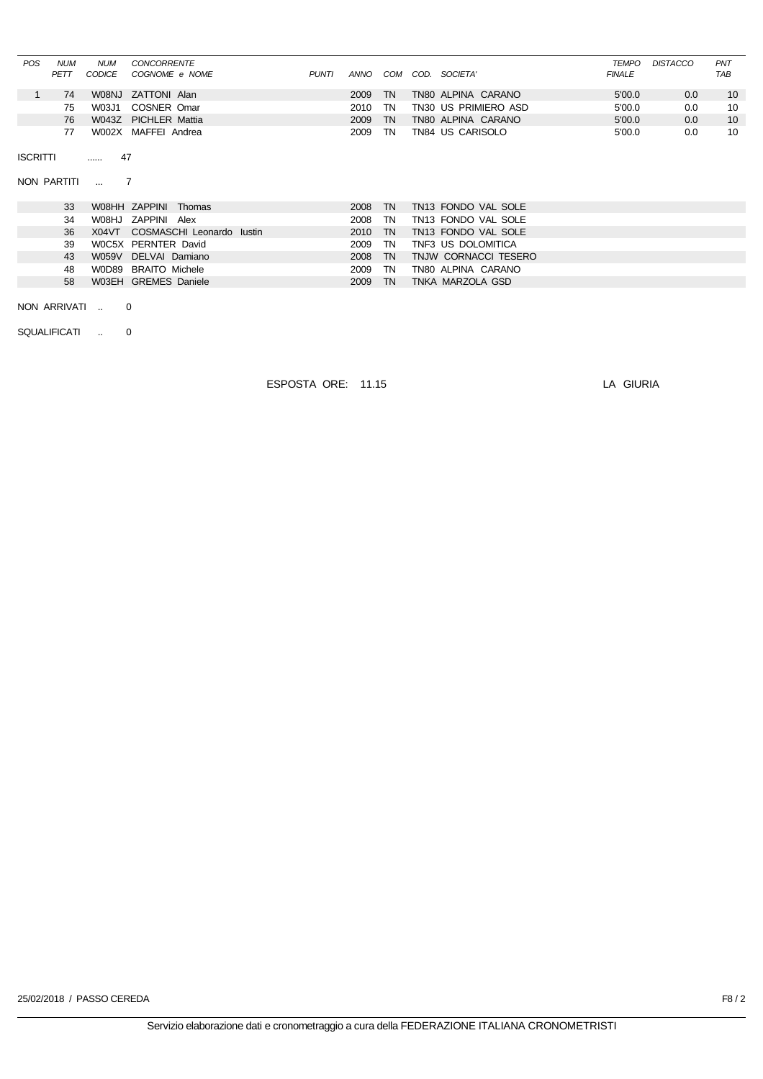| <b>POS</b> | <b>NUM</b><br>PETT | <b>NUM</b><br><i>CODICE</i> | CONCORRENTE<br>COGNOME e NOME | <b>PUNTI</b> | ANNO | СОМ       | COD. | SOCIETA'             | <b>TEMPO</b><br><b>FINALE</b> | <b>DISTACCO</b> | PNT<br><b>TAB</b> |
|------------|--------------------|-----------------------------|-------------------------------|--------------|------|-----------|------|----------------------|-------------------------------|-----------------|-------------------|
|            | 74                 |                             | W08NJ ZATTONI Alan            |              | 2009 | TN        |      | TN80 ALPINA CARANO   | 5'00.0                        | 0.0             | 10                |
|            | 75                 | W03J1                       | COSNER Omar                   |              | 2010 | ΤN        |      | TN30 US PRIMIERO ASD | 5'00.0                        | 0.0             | 10                |
|            | 76                 |                             | W043Z PICHLER Mattia          |              | 2009 | <b>TN</b> |      | TN80 ALPINA CARANO   | 5'00.0                        | 0.0             | 10                |
|            | 77                 |                             | W002X MAFFEI Andrea           |              | 2009 | ΤN        |      | TN84 US CARISOLO     | 5'00.0                        | 0.0             | 10                |

ISCRITTI ...... 47

NON PARTITI ... 7

| 33 | W08HH ZAPPINI Thomas            | 2008 TN |           | TN13 FONDO VAL SOLE  |
|----|---------------------------------|---------|-----------|----------------------|
| 34 | W08HJ ZAPPINI Alex              | 2008 TN |           | TN13 FONDO VAL SOLE  |
| 36 | X04VT COSMASCHI Leonardo Iustin | 2010 TN |           | TN13 FONDO VAL SOLE  |
| 39 | W0C5X PERNTER David             | 2009 TN |           | TNF3 US DOLOMITICA   |
| 43 | W059V DELVAI Damiano            | 2008 TN |           | TNJW CORNACCI TESERO |
| 48 | W0D89 BRAITO Michele            | 2009 TN |           | TN80 ALPINA CARANO   |
| 58 | W03EH GREMES Daniele            | 2009    | <b>TN</b> | TNKA MARZOLA GSD     |

NON ARRIVATI .. 0

SQUALIFICATI .. 0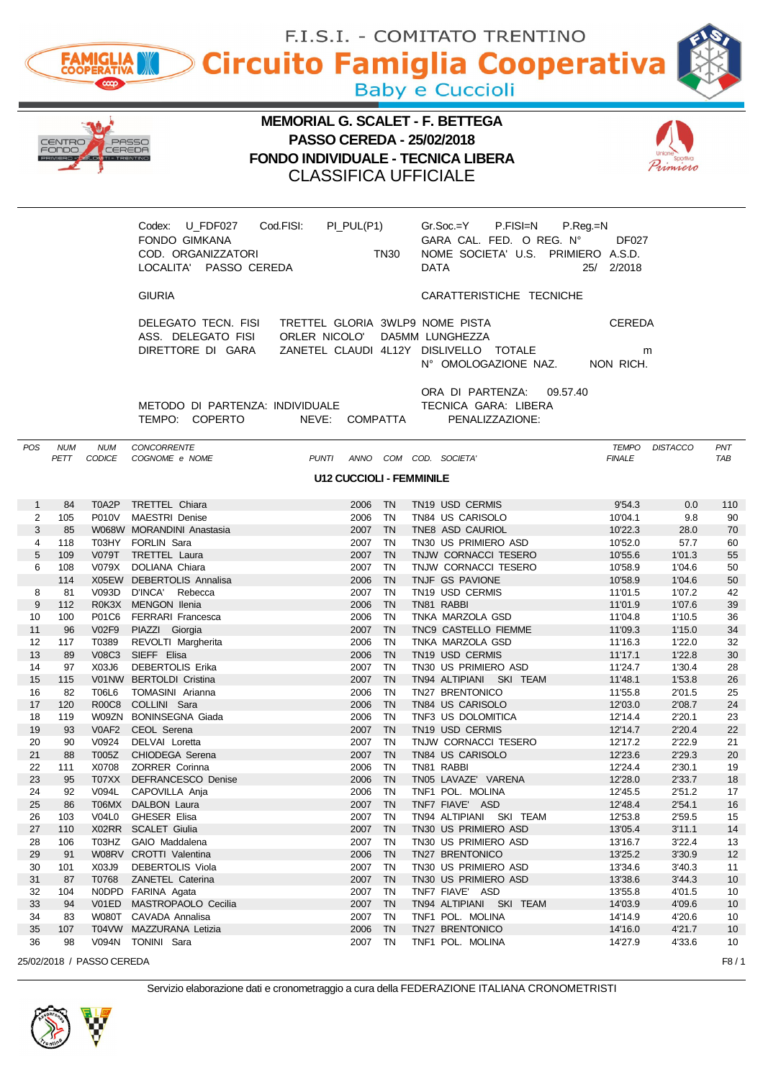|              | F.I.S.I. - COMITATO TRENTINO                            |                           |                                                     |                                        |                                 |             |             |                                                   |                    |                  |                   |
|--------------|---------------------------------------------------------|---------------------------|-----------------------------------------------------|----------------------------------------|---------------------------------|-------------|-------------|---------------------------------------------------|--------------------|------------------|-------------------|
|              | <b>Circuito Famiglia Cooperativa</b><br><b>FAMIGLIA</b> |                           |                                                     |                                        |                                 |             |             |                                                   |                    |                  |                   |
|              |                                                         |                           |                                                     |                                        |                                 |             |             | <b>Baby e Cuccioli</b>                            |                    |                  |                   |
|              |                                                         |                           |                                                     | <b>MEMORIAL G. SCALET - F. BETTEGA</b> |                                 |             |             |                                                   |                    |                  |                   |
|              | IENTRO<br>FONDO                                         |                           | PASSO                                               | <b>PASSO CEREDA - 25/02/2018</b>       |                                 |             |             |                                                   |                    |                  |                   |
|              |                                                         | CEREDA                    |                                                     |                                        |                                 |             |             | <b>FONDO INDIVIDUALE - TECNICA LIBERA</b>         |                    |                  |                   |
|              |                                                         |                           |                                                     | <b>CLASSIFICA UFFICIALE</b>            |                                 |             |             |                                                   |                    |                  |                   |
|              |                                                         |                           |                                                     |                                        |                                 |             |             |                                                   |                    |                  |                   |
|              |                                                         |                           | Codex: U_FDF027<br><b>FONDO GIMKANA</b>             | Cod.FISI:                              | PI_PUL(P1)                      |             |             | Gr.Soc.=Y<br>P.FISI=N<br>GARA CAL. FED. O REG. N° | P.Reg.=N<br>DF027  |                  |                   |
|              |                                                         |                           | COD. ORGANIZZATORI                                  |                                        |                                 | <b>TN30</b> |             | NOME SOCIETA' U.S. PRIMIERO A.S.D.                |                    |                  |                   |
|              |                                                         |                           | LOCALITA' PASSO CEREDA                              |                                        |                                 |             | <b>DATA</b> |                                                   | 25/ 2/2018         |                  |                   |
|              |                                                         |                           | <b>GIURIA</b>                                       |                                        |                                 |             |             | CARATTERISTICHE TECNICHE                          |                    |                  |                   |
|              |                                                         |                           | DELEGATO TECN. FISI TRETTEL GLORIA 3WLP9 NOME PISTA |                                        |                                 |             |             |                                                   | <b>CEREDA</b>      |                  |                   |
|              |                                                         |                           | ASS. DELEGATO FISI<br>DIRETTORE DI GARA             | ORLER NICOLO' DA5MM LUNGHEZZA          |                                 |             |             | ZANETEL CLAUDI 4L12Y DISLIVELLO TOTALE            | m                  |                  |                   |
|              |                                                         |                           |                                                     |                                        |                                 |             |             | N° OMOLOGAZIONE NAZ. NON RICH.                    |                    |                  |                   |
|              |                                                         |                           |                                                     |                                        |                                 |             |             | ORA DI PARTENZA:                                  | 09.57.40           |                  |                   |
|              |                                                         |                           | METODO DI PARTENZA: INDIVIDUALE<br>TEMPO: COPERTO   | NEVE: COMPATTA                         |                                 |             |             | TECNICA GARA: LIBERA<br>PENALIZZAZIONE:           |                    |                  |                   |
|              |                                                         |                           |                                                     |                                        |                                 |             |             |                                                   |                    |                  |                   |
| <b>POS</b>   | <b>NUM</b><br>PETT                                      | NUM<br>CODICE             | CONCORRENTE<br>COGNOME e NOME                       |                                        |                                 |             |             | PUNTI ANNO COM COD. SOCIETA'                      | <b>FINALE</b>      | TEMPO DISTACCO   | PNT<br><b>TAB</b> |
|              |                                                         |                           |                                                     |                                        | <b>U12 CUCCIOLI - FEMMINILE</b> |             |             |                                                   |                    |                  |                   |
| $\mathbf{1}$ | 84                                                      | T0A2P                     | TRETTEL Chiara                                      |                                        | 2006 TN                         |             |             | TN19 USD CERMIS                                   | 9'54.3             | 0.0              | 110               |
| 2            | 105                                                     | P010V                     | <b>MAESTRI Denise</b>                               |                                        | 2006 TN                         |             |             | TN84 US CARISOLO                                  | 10'04.1            | 9.8              | 90                |
| 3<br>4       | 85<br>118                                               |                           | W068W MORANDINI Anastasia<br>T03HY FORLIN Sara      |                                        | 2007 TN<br>2007 TN              |             |             | TNE8 ASD CAURIOL<br>TN30 US PRIMIERO ASD          | 10'22.3<br>10'52.0 | 28.0<br>57.7     | 70<br>60          |
| 5            | 109                                                     | <b>V079T</b>              | <b>TRETTEL Laura</b>                                |                                        | 2007 TN                         |             |             | TNJW CORNACCI TESERO                              | 10'55.6            | 1'01.3           | 55                |
| 6            | 108                                                     | V079X                     | DOLIANA Chiara                                      |                                        | 2007 TN                         |             |             | TNJW CORNACCI TESERO                              | 10'58.9            | 1'04.6           | 50                |
|              | 114                                                     |                           | X05EW DEBERTOLIS Annalisa                           |                                        | 2006<br>2007 TN                 | <b>TN</b>   |             | TNJF GS PAVIONE                                   | 10'58.9            | 1'04.6           | 50                |
| 8<br>9       | 81<br>112                                               | V093D                     | D'INCA' Rebecca<br>R0K3X MENGON Ilenia              |                                        | 2006                            | TN          |             | TN <sub>19</sub> USD CERMIS<br>TN81 RABBI         | 11'01.5<br>11'01.9 | 1'07.2<br>1'07.6 | 42<br>39          |
| 10           | 100                                                     | P01C6                     | <b>FERRARI Francesca</b>                            |                                        | 2006                            | TN          |             | TNKA MARZOLA GSD                                  | 11'04.8            | 1'10.5           | 36                |
| 11           | 96                                                      | V02F9                     | PIAZZI Giorgia                                      |                                        | 2007                            | <b>TN</b>   |             | TNC9 CASTELLO FIEMME                              | 11'09.3            | 1'15.0           | 34                |
| 12<br>13     | 117<br>89                                               | T0389<br><b>V08C3</b>     | REVOLTI Margherita<br>SIEFF Elisa                   |                                        | 2006<br>2006                    | TN<br>TN    |             | TNKA MARZOLA GSD<br>TN19 USD CERMIS               | 11'16.3<br>11'17.1 | 1'22.0<br>1'22.8 | 32<br>30          |
| 14           | 97                                                      | X03J6                     | DEBERTOLIS Erika                                    |                                        | 2007 TN                         |             |             | TN30 US PRIMIERO ASD                              | 11'24.7            | 1'30.4           | 28                |
| 15           | 115                                                     |                           | V01NW BERTOLDI Cristina                             |                                        | 2007                            | TN          |             | TN94 ALTIPIANI SKI TEAM                           | 11'48.1            | 1'53.8           | 26                |
| 16           | 82                                                      | T06L6                     | TOMASINI Arianna                                    |                                        | 2006                            | TN          |             | TN27 BRENTONICO<br>TN84 US CARISOLO               | 11'55.8            | 2'01.5           | 25                |
| 17<br>18     | 120<br>119                                              | R00C8<br>W09ZN            | COLLINI Sara<br><b>BONINSEGNA Giada</b>             |                                        | 2006<br>2006                    | TN<br>TN    |             | TNF3 US DOLOMITICA                                | 12'03.0<br>12'14.4 | 2'08.7<br>2'20.1 | 24<br>23          |
| 19           | 93                                                      | V0AF2                     | CEOL Serena                                         |                                        | 2007 TN                         |             |             | TN19 USD CERMIS                                   | 12'14.7            | 2'20.4           | 22                |
| 20           | 90                                                      | V0924                     | DELVAI Loretta                                      |                                        | 2007 TN                         |             |             | TNJW CORNACCI TESERO                              | 12'17.2            | 2'22.9           | 21                |
| 21<br>22     | 88<br>111                                               | T005Z<br>X0708            | CHIODEGA Serena<br>ZORRER Corinna                   |                                        | 2007<br>2006                    | TN<br>TN    |             | TN84 US CARISOLO<br>TN81 RABBI                    | 12'23.6<br>12'24.4 | 2'29.3<br>2'30.1 | 20<br>19          |
| 23           | 95                                                      | T07XX                     | DEFRANCESCO Denise                                  |                                        | 2006                            | TN          |             | TN05 LAVAZE' VARENA                               | 12'28.0            | 2'33.7           | 18                |
| 24           | 92                                                      | V094L                     | CAPOVILLA Anja                                      |                                        | 2006                            | TN          |             | TNF1 POL. MOLINA                                  | 12'45.5            | 2'51.2           | 17                |
| 25           | 86                                                      | T06MX                     | DALBON Laura                                        |                                        | 2007<br>2007                    | TN<br>TN    |             | TNF7 FIAVE' ASD                                   | 12'48.4            | 2'54.1           | 16                |
| 26<br>27     | 103<br>110                                              | V04L0                     | GHESER Elisa<br>X02RR SCALET Giulia                 |                                        | 2007 TN                         |             |             | TN94 ALTIPIANI SKI TEAM<br>TN30 US PRIMIERO ASD   | 12'53.8<br>13'05.4 | 2'59.5<br>3'11.1 | 15<br>14          |
| 28           | 106                                                     | T03HZ                     | GAIO Maddalena                                      |                                        | 2007 TN                         |             |             | TN30 US PRIMIERO ASD                              | 13'16.7            | 3'22.4           | 13                |
| 29           | 91                                                      |                           | W08RV CROTTI Valentina                              |                                        | 2006                            | TN          |             | TN27 BRENTONICO                                   | 13'25.2            | 3'30.9           | 12                |
| 30<br>31     | 101<br>87                                               | X03J9<br>T0768            | DEBERTOLIS Viola<br>ZANETEL Caterina                |                                        | 2007 TN<br>2007 TN              |             |             | TN30 US PRIMIERO ASD<br>TN30 US PRIMIERO ASD      | 13'34.6<br>13'38.6 | 3'40.3<br>3'44.3 | 11<br>10          |
| 32           | 104                                                     |                           | NODPD FARINA Agata                                  |                                        | 2007                            | TN          |             | TNF7 FIAVE' ASD                                   | 13'55.8            | 4'01.5           | 10                |
| 33           | 94                                                      | V01ED                     | MASTROPAOLO Cecilia                                 |                                        | 2007 TN                         |             |             | TN94 ALTIPIANI SKI TEAM                           | 14'03.9            | 4'09.6           | 10 <sup>°</sup>   |
| 34<br>35     | 83<br>107                                               |                           | W080T CAVADA Annalisa<br>T04VW MAZZURANA Letizia    |                                        | 2007<br>2006                    | TN<br>TN    |             | TNF1 POL. MOLINA<br>TN27 BRENTONICO               | 14'14.9<br>14'16.0 | 4'20.6<br>4'21.7 | 10<br>10          |
| 36           | 98                                                      | V094N                     | TONINI Sara                                         |                                        | 2007 TN                         |             |             | TNF1 POL. MOLINA                                  | 14'27.9            | 4'33.6           | 10                |
|              |                                                         | 25/02/2018 / PASSO CEREDA |                                                     |                                        |                                 |             |             |                                                   |                    |                  | F8/1              |

AB



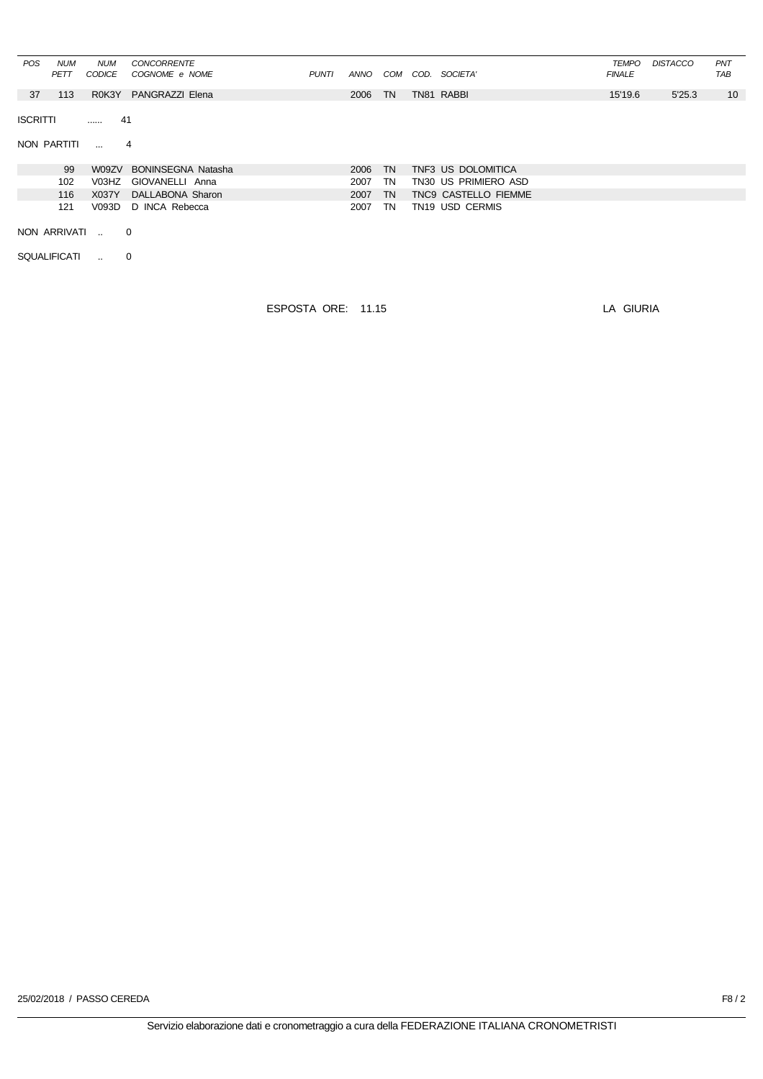| <b>POS</b>      | <b>NUM</b><br><b>PETT</b> | <b>NUM</b><br><b>CODICE</b> | <b>CONCORRENTE</b><br>COGNOME e NOME | <b>PUNTI</b> | ANNO | COM       | COD. SOCIETA'        | <b>TEMPO</b><br><b>FINALE</b> | <b>DISTACCO</b> | PNT<br><b>TAB</b> |
|-----------------|---------------------------|-----------------------------|--------------------------------------|--------------|------|-----------|----------------------|-------------------------------|-----------------|-------------------|
| 37              | 113                       | R0K3Y                       | PANGRAZZI Elena                      |              | 2006 | <b>TN</b> | TN81 RABBI           | 15'19.6                       | 5'25.3          | 10                |
| <b>ISCRITTI</b> |                           | .                           | 41                                   |              |      |           |                      |                               |                 |                   |
|                 | NON PARTITI               | $\sim$                      | 4                                    |              |      |           |                      |                               |                 |                   |
|                 | 99                        | W09ZV                       | <b>BONINSEGNA Natasha</b>            |              | 2006 | <b>TN</b> | TNF3 US DOLOMITICA   |                               |                 |                   |
|                 | 102                       | V03HZ                       | GIOVANELLI Anna                      |              | 2007 | TN        | TN30 US PRIMIERO ASD |                               |                 |                   |
|                 | 116                       | X037Y                       | DALLABONA Sharon                     |              | 2007 | <b>TN</b> | TNC9 CASTELLO FIEMME |                               |                 |                   |
|                 | 121                       | V093D                       | D INCA Rebecca                       |              | 2007 | TN        | TN19 USD CERMIS      |                               |                 |                   |
|                 | NON ARRIVATI              |                             | $\overline{0}$                       |              |      |           |                      |                               |                 |                   |
|                 | <b>SQUALIFICATI</b>       | $\sim$                      | 0                                    |              |      |           |                      |                               |                 |                   |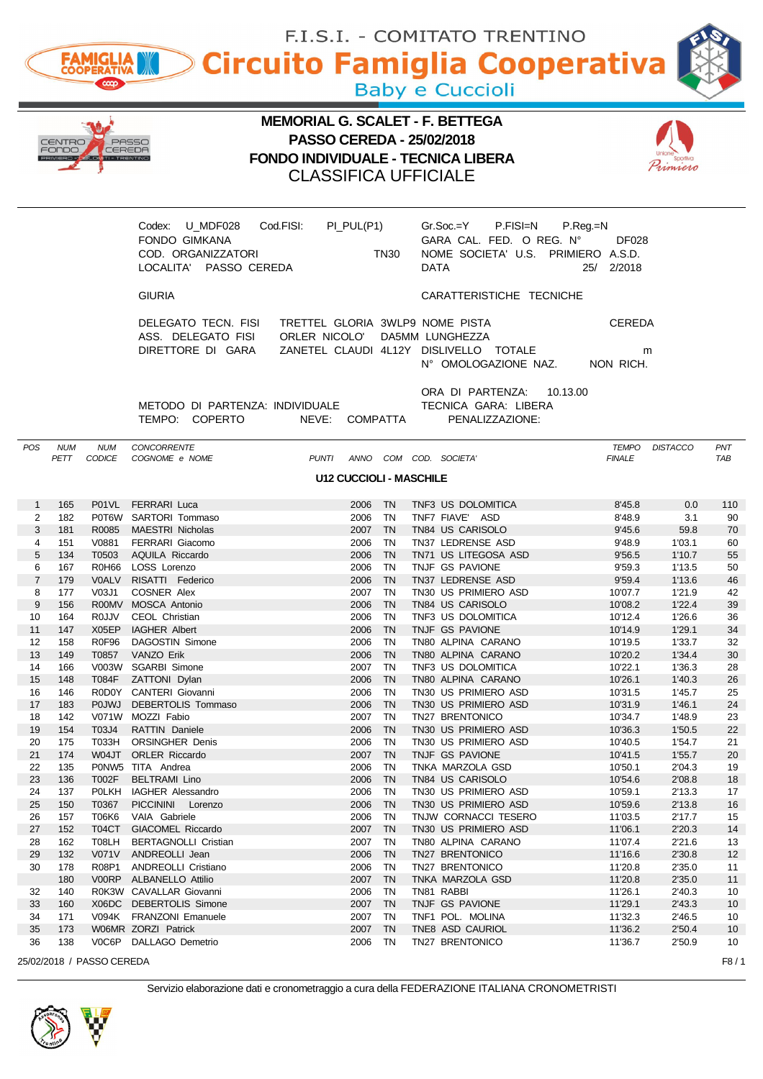|                |                 | <b>FAMIGLIA</b>            |                                                                                                |                                                                                                                                                        |                    |             |             | Circuito Famiglia Cooperativa<br><b>Baby e Cuccioli</b>                                    |                                                             |                  |                       |
|----------------|-----------------|----------------------------|------------------------------------------------------------------------------------------------|--------------------------------------------------------------------------------------------------------------------------------------------------------|--------------------|-------------|-------------|--------------------------------------------------------------------------------------------|-------------------------------------------------------------|------------------|-----------------------|
|                | CENTRO<br>FONDO | CEREDA<br>OMITI - TRENTINO | PASSO                                                                                          | <b>MEMORIAL G. SCALET - F. BETTEGA</b><br><b>PASSO CEREDA - 25/02/2018</b><br><b>FONDO INDIVIDUALE - TECNICA LIBERA</b><br><b>CLASSIFICA UFFICIALE</b> |                    |             |             |                                                                                            |                                                             |                  |                       |
|                |                 |                            | Codex: U MDF028<br><b>FONDO GIMKANA</b><br>COD. ORGANIZZATORI<br>LOCALITA' PASSO CEREDA        | Cod.FISI:                                                                                                                                              | PI_PUL(P1)         | <b>TN30</b> | <b>DATA</b> | P.FISI=N<br>$Gr.Soc = Y$<br>GARA CAL. FED. O REG. Nº<br>NOME SOCIETA' U.S. PRIMIERO A.S.D. | $P_{\cdot}$ Reg $_{\cdot}$ =N<br><b>DF028</b><br>25/ 2/2018 |                  |                       |
|                |                 |                            | <b>GIURIA</b>                                                                                  |                                                                                                                                                        |                    |             |             | CARATTERISTICHE TECNICHE                                                                   |                                                             |                  |                       |
|                |                 |                            | DELEGATO TECN. FISI TRETTEL GLORIA 3WLP9 NOME PISTA<br>ASS. DELEGATO FISI<br>DIRETTORE DI GARA | ORLER NICOLO' DA5MM LUNGHEZZA                                                                                                                          |                    |             |             | ZANETEL CLAUDI 4L12Y DISLIVELLO TOTALE<br>N° OMOLOGAZIONE NAZ. NON RICH.                   | <b>CEREDA</b><br>m                                          |                  |                       |
|                |                 |                            | METODO DI PARTENZA: INDIVIDUALE<br>TEMPO: COPERTO                                              | NEVE: COMPATTA                                                                                                                                         |                    |             |             | ORA DI PARTENZA:<br>10.13.00<br>TECNICA GARA: LIBERA<br>PENALIZZAZIONE:                    |                                                             |                  |                       |
| POS            | NUM<br>PETT     | NUM<br>CODICE              | CONCORRENTE<br>COGNOME e NOME                                                                  | PUNTI ANNO COM COD. SOCIETA'                                                                                                                           |                    |             |             |                                                                                            | TEMPO<br><b>FINALE</b>                                      | <b>DISTACCO</b>  | PNT<br>TAB            |
|                |                 |                            |                                                                                                | <b>U12 CUCCIOLI - MASCHILE</b>                                                                                                                         |                    |             |             |                                                                                            |                                                             |                  |                       |
| $\mathbf{1}$   | 165             |                            | P01VL FERRARI Luca                                                                             |                                                                                                                                                        | 2006               | <b>TN</b>   |             | TNF3 US DOLOMITICA                                                                         | 8'45.8                                                      | 0.0              | 110                   |
| 2              | 182             |                            | P0T6W SARTORI Tommaso                                                                          |                                                                                                                                                        | 2006               | TN.         |             | TNF7 FIAVE' ASD                                                                            | 8'48.9                                                      | 3.1              | 90                    |
| 3              | 181             | R0085                      | <b>MAESTRI Nicholas</b>                                                                        |                                                                                                                                                        | 2007 TN            |             |             | TN84 US CARISOLO                                                                           | 9'45.6                                                      | 59.8             | 70                    |
| 4<br>5         | 151<br>134      | V0881<br>T0503             | FERRARI Giacomo<br>AQUILA Riccardo                                                             |                                                                                                                                                        | 2006 TN<br>2006    | <b>TN</b>   |             | TN37 LEDRENSE ASD<br>TN71 US LITEGOSA ASD                                                  | 9'48.9<br>9'56.5                                            | 1'03.1<br>1'10.7 | 60<br>55              |
| 6              | 167             |                            | R0H66 LOSS Lorenzo                                                                             |                                                                                                                                                        | 2006 TN            |             |             | TNJF GS PAVIONE                                                                            | 9'59.3                                                      | 1'13.5           | 50                    |
| $\overline{7}$ | 179             | <b>V0ALV</b>               | RISATTI Federico                                                                               |                                                                                                                                                        | 2006 TN            |             |             | TN37 LEDRENSE ASD                                                                          | 9'59.4                                                      | 1'13.6           | 46                    |
| 8<br>9         | 177<br>156      | V03J1                      | COSNER Alex<br>R00MV MOSCA Antonio                                                             |                                                                                                                                                        | 2007 TN<br>2006 TN |             |             | TN30 US PRIMIERO ASD<br>TN84 US CARISOLO                                                   | 10'07.7<br>10'08.2                                          | 1'21.9<br>1'22.4 | 42<br>39              |
| 10             | 164             |                            | ROJJV CEOL Christian                                                                           |                                                                                                                                                        | 2006 TN            |             |             | TNF3 US DOLOMITICA                                                                         | 10'12.4                                                     | 1'26.6           | 36                    |
| 11             | 147             | X05EP                      | <b>IAGHER Albert</b>                                                                           |                                                                                                                                                        | 2006               | TN          |             | TNJF GS PAVIONE                                                                            | 10'14.9                                                     | 1'29.1           | 34                    |
| 12<br>13       | 158<br>149      | <b>R0F96</b><br>T0857      | <b>DAGOSTIN Simone</b><br><b>VANZO Erik</b>                                                    |                                                                                                                                                        | 2006<br>2006       | TN<br>TN    |             | TN80 ALPINA CARANO<br>TN80 ALPINA CARANO                                                   | 10'19.5<br>10'20.2                                          | 1'33.7<br>1'34.4 | 32<br>30              |
| 14             | 166             | V003W                      | <b>SGARBI Simone</b>                                                                           |                                                                                                                                                        | 2007               | TN          |             | TNF3 US DOLOMITICA                                                                         | 10'22.1                                                     | 1'36.3           | 28                    |
| 15             | 148             | <b>T084F</b>               | ZATTONI Dylan                                                                                  |                                                                                                                                                        | 2006               | TN          |             | TN80 ALPINA CARANO                                                                         | 10'26.1                                                     | 1'40.3           | 26                    |
| 16<br>17       | 146<br>183      | <b>POJWJ</b>               | R0D0Y CANTERI Giovanni<br>DEBERTOLIS Tommaso                                                   |                                                                                                                                                        | 2006<br>2006       | TN<br>TN    |             | TN30 US PRIMIERO ASD<br>TN30 US PRIMIERO ASD                                               | 10'31.5<br>10'31.9                                          | 1'45.7<br>1'46.1 | 25<br>24              |
| 18             | 142             | V071W                      | MOZZI Fabio                                                                                    |                                                                                                                                                        | 2007               | TN          |             | TN27 BRENTONICO                                                                            | 10'34.7                                                     | 1'48.9           | 23                    |
| 19             | 154             | T03J4                      | RATTIN Daniele                                                                                 |                                                                                                                                                        | 2006               | TN          |             | TN30 US PRIMIERO ASD                                                                       | 10'36.3                                                     | 1'50.5           | 22                    |
| 20             | 175             | T033H                      | <b>ORSINGHER Denis</b>                                                                         |                                                                                                                                                        | 2006               | TN          |             | TN30 US PRIMIERO ASD                                                                       | 10'40.5                                                     | 1'54.7           | 21                    |
| 21<br>22       | 174<br>135      | W04JT<br>P0NW <sub>5</sub> | <b>ORLER Riccardo</b><br>TITA Andrea                                                           |                                                                                                                                                        | 2007<br>2006       | TN<br>TN    |             | TNJF GS PAVIONE<br>TNKA MARZOLA GSD                                                        | 10'41.5<br>10'50.1                                          | 1'55.7<br>2'04.3 | 20<br>19              |
| 23             | 136             | T002F                      | <b>BELTRAMI Lino</b>                                                                           |                                                                                                                                                        | 2006 TN            |             |             | TN84 US CARISOLO                                                                           | 10'54.6                                                     | 2'08.8           | 18                    |
| 24             | 137             | <b>POLKH</b>               | IAGHER Alessandro                                                                              |                                                                                                                                                        | 2006               | TN          |             | TN30 US PRIMIERO ASD                                                                       | 10'59.1                                                     | 2'13.3           | 17                    |
| 25<br>26       | 150<br>157      | T0367<br><b>T06K6</b>      | <b>PICCININI</b><br>Lorenzo<br>VAIA Gabriele                                                   |                                                                                                                                                        | 2006<br>2006       | TN<br>TN    |             | TN30 US PRIMIERO ASD<br>TNJW CORNACCI TESERO                                               | 10'59.6<br>11'03.5                                          | 2'13.8<br>2'17.7 | 16<br>15              |
| 27             | 152             | T04CT                      | GIACOMEL Riccardo                                                                              |                                                                                                                                                        | 2007               | TN          |             | TN30 US PRIMIERO ASD                                                                       | 11'06.1                                                     | 2'20.3           | 14                    |
| 28             | 162             | T08LH                      | <b>BERTAGNOLLI Cristian</b>                                                                    |                                                                                                                                                        | 2007               | TN          |             | TN80 ALPINA CARANO                                                                         | 11'07.4                                                     | 2'21.6           | 13                    |
| 29<br>30       | 132<br>178      | V071V<br>R08P1             | ANDREOLLI Jean<br>ANDREOLLI Cristiano                                                          |                                                                                                                                                        | 2006<br>2006       | TN<br>TN    |             | TN27 BRENTONICO<br>TN27 BRENTONICO                                                         | 11'16.6<br>11'20.8                                          | 2'30.8<br>2'35.0 | 12<br>11              |
|                | 180             | V00RP                      | <b>ALBANELLO Attilio</b>                                                                       |                                                                                                                                                        | 2007 TN            |             |             | TNKA MARZOLA GSD                                                                           | 11'20.8                                                     | 2'35.0           | 11                    |
| 32             | 140             |                            | R0K3W CAVALLAR Giovanni                                                                        |                                                                                                                                                        | 2006               | TN          |             | TN81 RABBI                                                                                 | 11'26.1                                                     | 2'40.3           | 10                    |
| 33<br>34       | 160<br>171      | X06DC                      | <b>DEBERTOLIS Simone</b><br>V094K FRANZONI Emanuele                                            |                                                                                                                                                        | 2007<br>2007       | TN<br>TN    |             | TNJF GS PAVIONE<br>TNF1 POL. MOLINA                                                        | 11'29.1<br>11'32.3                                          | 2'43.3<br>2'46.5 | 10 <sup>°</sup><br>10 |
| 35             | 173             |                            | W06MR ZORZI Patrick                                                                            |                                                                                                                                                        | 2007               | TN          |             | TNE8 ASD CAURIOL                                                                           | 11'36.2                                                     | 2'50.4           | 10 <sup>°</sup>       |
| 36             | 138             |                            | V0C6P DALLAGO Demetrio                                                                         |                                                                                                                                                        | 2006               | TN          |             | TN27 BRENTONICO                                                                            | 11'36.7                                                     | 2'50.9           | 10                    |
|                |                 | 25/02/2018 / PASSO CEREDA  |                                                                                                |                                                                                                                                                        |                    |             |             |                                                                                            |                                                             |                  | F8/1                  |

F.I.S.I. - COMITATO TRENTINO

40